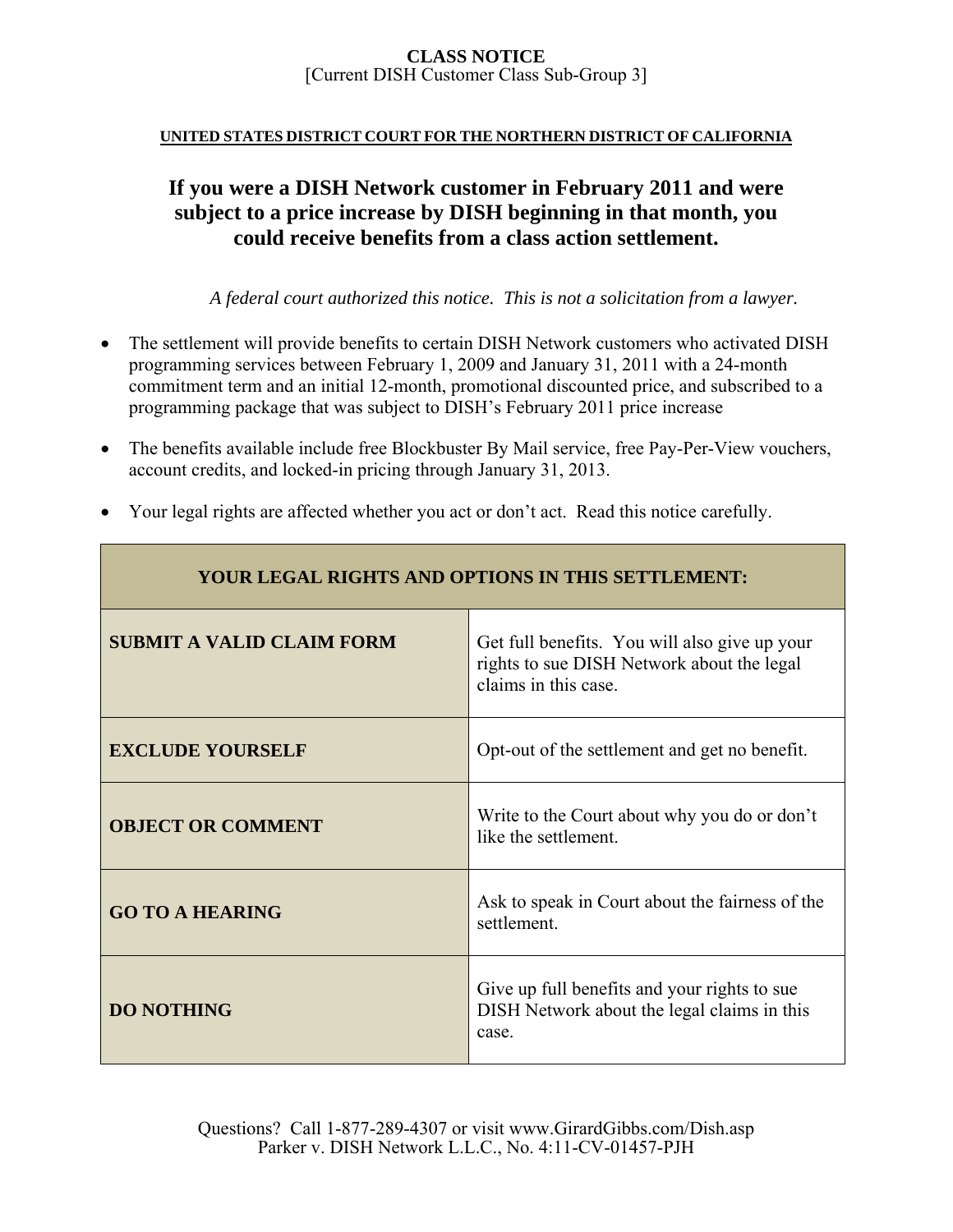### **UNITED STATES DISTRICT COURT FOR THE NORTHERN DISTRICT OF CALIFORNIA**

# **If you were a DISH Network customer in February 2011 and were subject to a price increase by DISH beginning in that month, you could receive benefits from a class action settlement.**

*A federal court authorized this notice. This is not a solicitation from a lawyer.* 

- The settlement will provide benefits to certain DISH Network customers who activated DISH programming services between February 1, 2009 and January 31, 2011 with a 24-month commitment term and an initial 12-month, promotional discounted price, and subscribed to a programming package that was subject to DISH's February 2011 price increase
- The benefits available include free Blockbuster By Mail service, free Pay-Per-View vouchers, account credits, and locked-in pricing through January 31, 2013.
- Your legal rights are affected whether you act or don't act. Read this notice carefully.

| <b>YOUR LEGAL RIGHTS AND OPTIONS IN THIS SETTLEMENT:</b> |                                                                                                                     |  |
|----------------------------------------------------------|---------------------------------------------------------------------------------------------------------------------|--|
| <b>SUBMIT A VALID CLAIM FORM</b>                         | Get full benefits. You will also give up your<br>rights to sue DISH Network about the legal<br>claims in this case. |  |
| <b>EXCLUDE YOURSELF</b>                                  | Opt-out of the settlement and get no benefit.                                                                       |  |
| <b>OBJECT OR COMMENT</b>                                 | Write to the Court about why you do or don't<br>like the settlement.                                                |  |
| <b>GO TO A HEARING</b>                                   | Ask to speak in Court about the fairness of the<br>settlement.                                                      |  |
| <b>DO NOTHING</b>                                        | Give up full benefits and your rights to sue<br>DISH Network about the legal claims in this<br>case.                |  |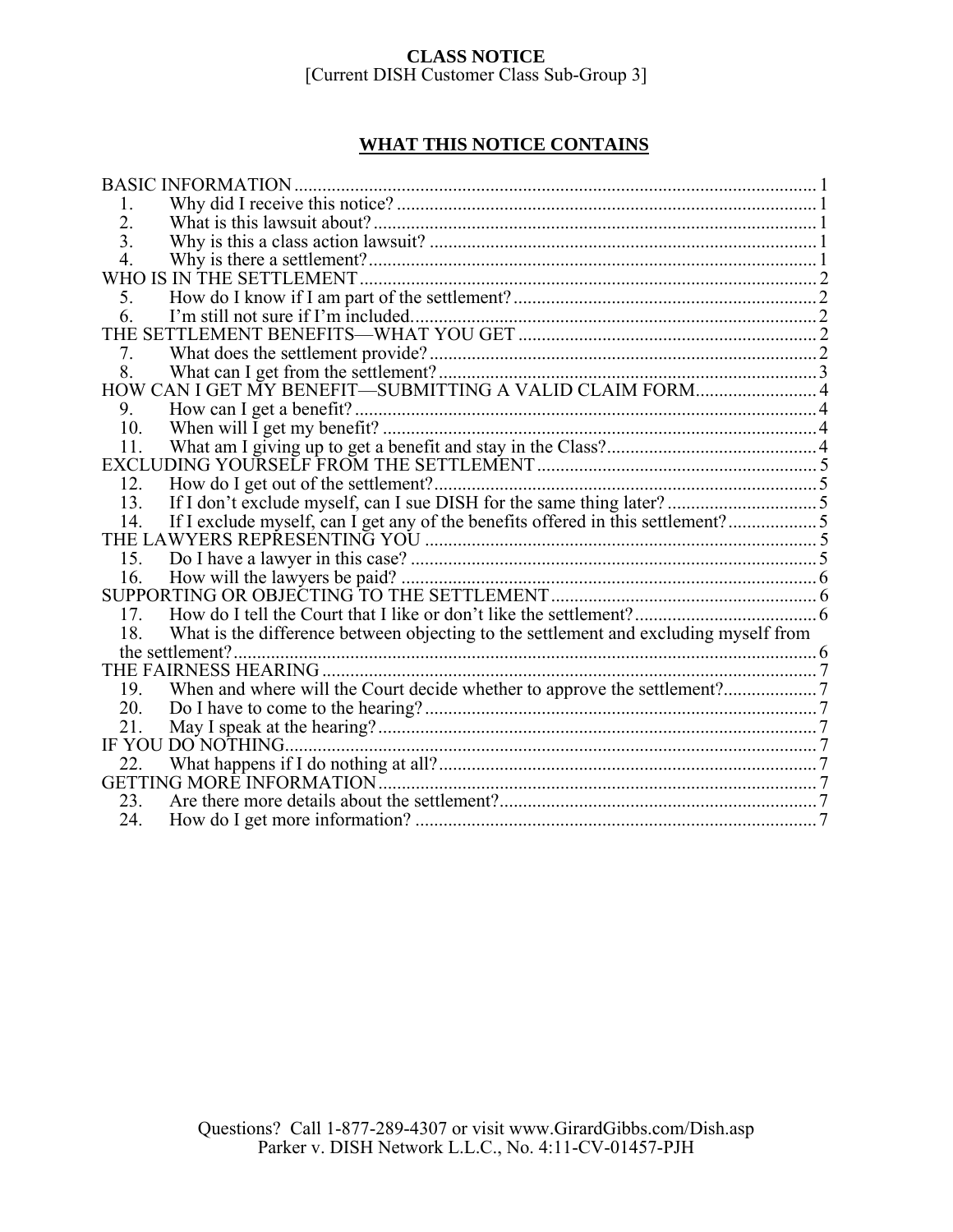## **WHAT THIS NOTICE CONTAINS**

| <b>BASIC INFORMATION.</b>                                                                   |  |
|---------------------------------------------------------------------------------------------|--|
| 1.                                                                                          |  |
| 2.                                                                                          |  |
| 3.                                                                                          |  |
| 4.                                                                                          |  |
| WHO IS IN THE SETTLEMENT.                                                                   |  |
| 5.                                                                                          |  |
| 6                                                                                           |  |
|                                                                                             |  |
| 7.                                                                                          |  |
| 8.                                                                                          |  |
| HOW CAN I GET MY BENEFIT-SUBMITTING A VALID CLAIM FORM 4                                    |  |
| 9.                                                                                          |  |
| 10.                                                                                         |  |
| 11.                                                                                         |  |
|                                                                                             |  |
| 12.                                                                                         |  |
| 13.                                                                                         |  |
| If I exclude myself, can I get any of the benefits offered in this settlement?5<br>14.      |  |
|                                                                                             |  |
|                                                                                             |  |
| 16.                                                                                         |  |
|                                                                                             |  |
| 17.                                                                                         |  |
| What is the difference between objecting to the settlement and excluding myself from<br>18. |  |
| the settlement?                                                                             |  |
|                                                                                             |  |
| 19.                                                                                         |  |
| 20.                                                                                         |  |
| 21.                                                                                         |  |
| IF YOU DO NOTHING                                                                           |  |
| 22.                                                                                         |  |
|                                                                                             |  |
| 23.                                                                                         |  |
| 24.                                                                                         |  |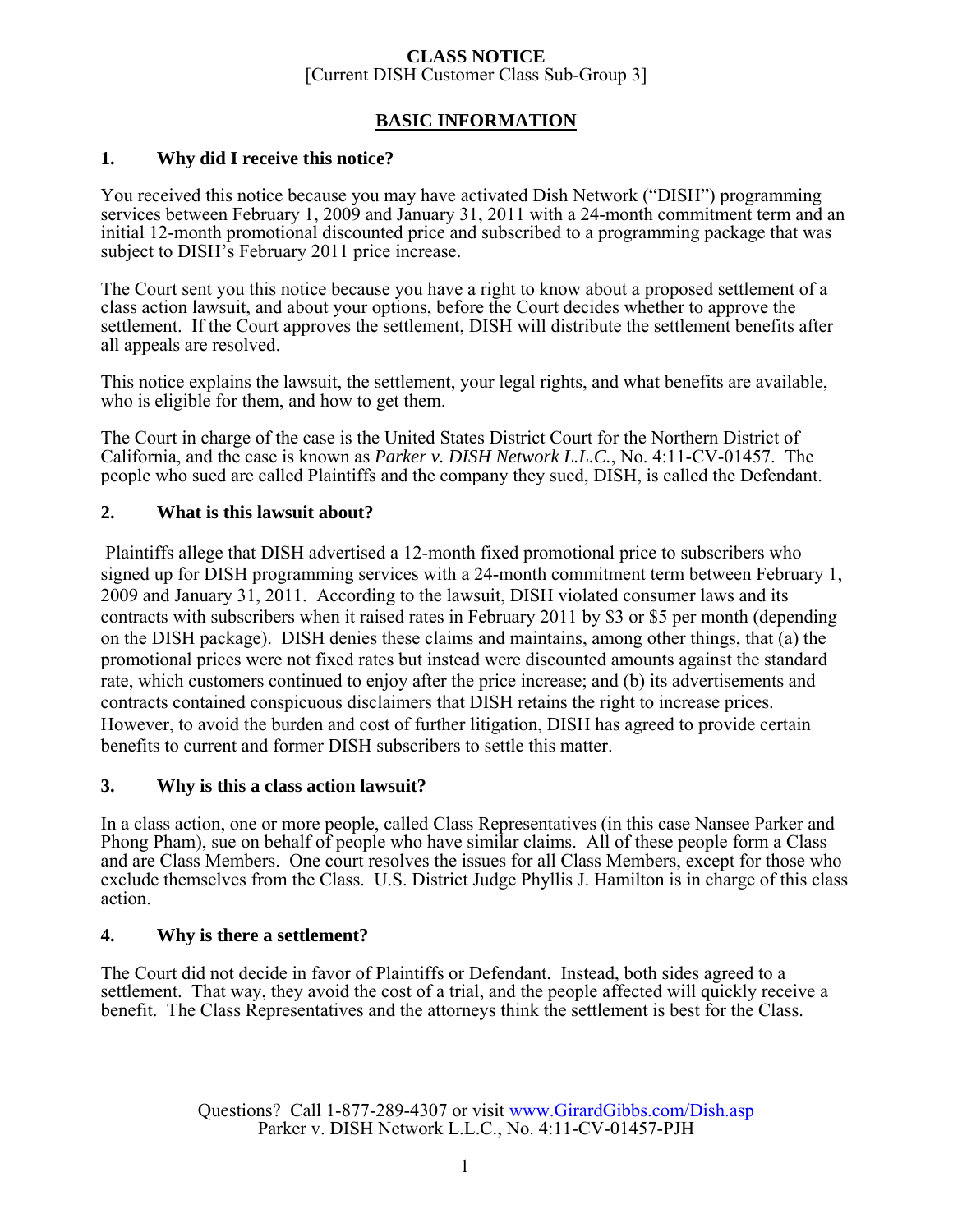## **BASIC INFORMATION**

## **1. Why did I receive this notice?**

You received this notice because you may have activated Dish Network ("DISH") programming services between February 1, 2009 and January 31, 2011 with a 24-month commitment term and an initial 12-month promotional discounted price and subscribed to a programming package that was subject to DISH's February 2011 price increase.

The Court sent you this notice because you have a right to know about a proposed settlement of a class action lawsuit, and about your options, before the Court decides whether to approve the settlement. If the Court approves the settlement, DISH will distribute the settlement benefits after all appeals are resolved.

This notice explains the lawsuit, the settlement, your legal rights, and what benefits are available, who is eligible for them, and how to get them.

The Court in charge of the case is the United States District Court for the Northern District of California, and the case is known as *Parker v. DISH Network L.L.C.*, No. 4:11-CV-01457. The people who sued are called Plaintiffs and the company they sued, DISH, is called the Defendant.

## **2. What is this lawsuit about?**

 Plaintiffs allege that DISH advertised a 12-month fixed promotional price to subscribers who signed up for DISH programming services with a 24-month commitment term between February 1, 2009 and January 31, 2011. According to the lawsuit, DISH violated consumer laws and its contracts with subscribers when it raised rates in February 2011 by \$3 or \$5 per month (depending on the DISH package). DISH denies these claims and maintains, among other things, that (a) the promotional prices were not fixed rates but instead were discounted amounts against the standard rate, which customers continued to enjoy after the price increase; and (b) its advertisements and contracts contained conspicuous disclaimers that DISH retains the right to increase prices. However, to avoid the burden and cost of further litigation, DISH has agreed to provide certain benefits to current and former DISH subscribers to settle this matter.

### **3. Why is this a class action lawsuit?**

In a class action, one or more people, called Class Representatives (in this case Nansee Parker and Phong Pham), sue on behalf of people who have similar claims. All of these people form a Class and are Class Members. One court resolves the issues for all Class Members, except for those who exclude themselves from the Class. U.S. District Judge Phyllis J. Hamilton is in charge of this class action.

## **4. Why is there a settlement?**

The Court did not decide in favor of Plaintiffs or Defendant. Instead, both sides agreed to a settlement. That way, they avoid the cost of a trial, and the people affected will quickly receive a benefit. The Class Representatives and the attorneys think the settlement is best for the Class.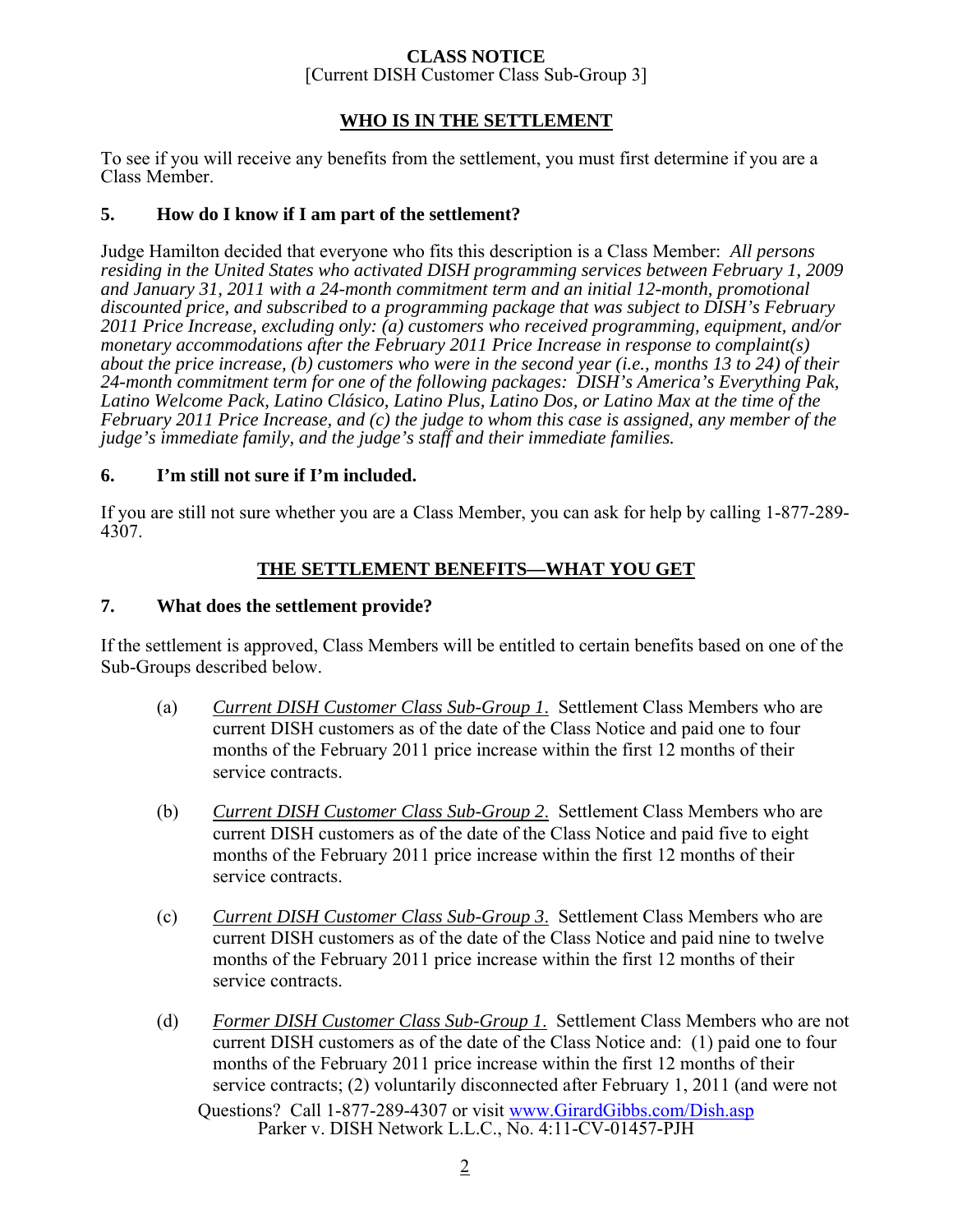## **CLASS NOTICE**

[Current DISH Customer Class Sub-Group 3]

### **WHO IS IN THE SETTLEMENT**

To see if you will receive any benefits from the settlement, you must first determine if you are a Class Member.

## **5. How do I know if I am part of the settlement?**

Judge Hamilton decided that everyone who fits this description is a Class Member: *All persons residing in the United States who activated DISH programming services between February 1, 2009 and January 31, 2011 with a 24-month commitment term and an initial 12-month, promotional discounted price, and subscribed to a programming package that was subject to DISH's February 2011 Price Increase, excluding only: (a) customers who received programming, equipment, and/or monetary accommodations after the February 2011 Price Increase in response to complaint(s) about the price increase, (b) customers who were in the second year (i.e., months 13 to 24) of their 24-month commitment term for one of the following packages: DISH's America's Everything Pak, Latino Welcome Pack, Latino Clásico, Latino Plus, Latino Dos, or Latino Max at the time of the February 2011 Price Increase, and (c) the judge to whom this case is assigned, any member of the judge's immediate family, and the judge's staff and their immediate families.*

### **6. I'm still not sure if I'm included.**

If you are still not sure whether you are a Class Member, you can ask for help by calling 1-877-289- 4307.

## **THE SETTLEMENT BENEFITS—WHAT YOU GET**

### **7. What does the settlement provide?**

If the settlement is approved, Class Members will be entitled to certain benefits based on one of the Sub-Groups described below.

- (a) *Current DISH Customer Class Sub-Group 1*. Settlement Class Members who are current DISH customers as of the date of the Class Notice and paid one to four months of the February 2011 price increase within the first 12 months of their service contracts.
- (b) *Current DISH Customer Class Sub-Group 2*. Settlement Class Members who are current DISH customers as of the date of the Class Notice and paid five to eight months of the February 2011 price increase within the first 12 months of their service contracts.
- (c) *Current DISH Customer Class Sub-Group 3*. Settlement Class Members who are current DISH customers as of the date of the Class Notice and paid nine to twelve months of the February 2011 price increase within the first 12 months of their service contracts.
- Questions? Call 1-877-289-4307 or visit www.GirardGibbs.com/Dish.asp Parker v. DISH Network L.L.C., No. 4:11-CV-01457-PJH (d) *Former DISH Customer Class Sub-Group 1*. Settlement Class Members who are not current DISH customers as of the date of the Class Notice and: (1) paid one to four months of the February 2011 price increase within the first 12 months of their service contracts; (2) voluntarily disconnected after February 1, 2011 (and were not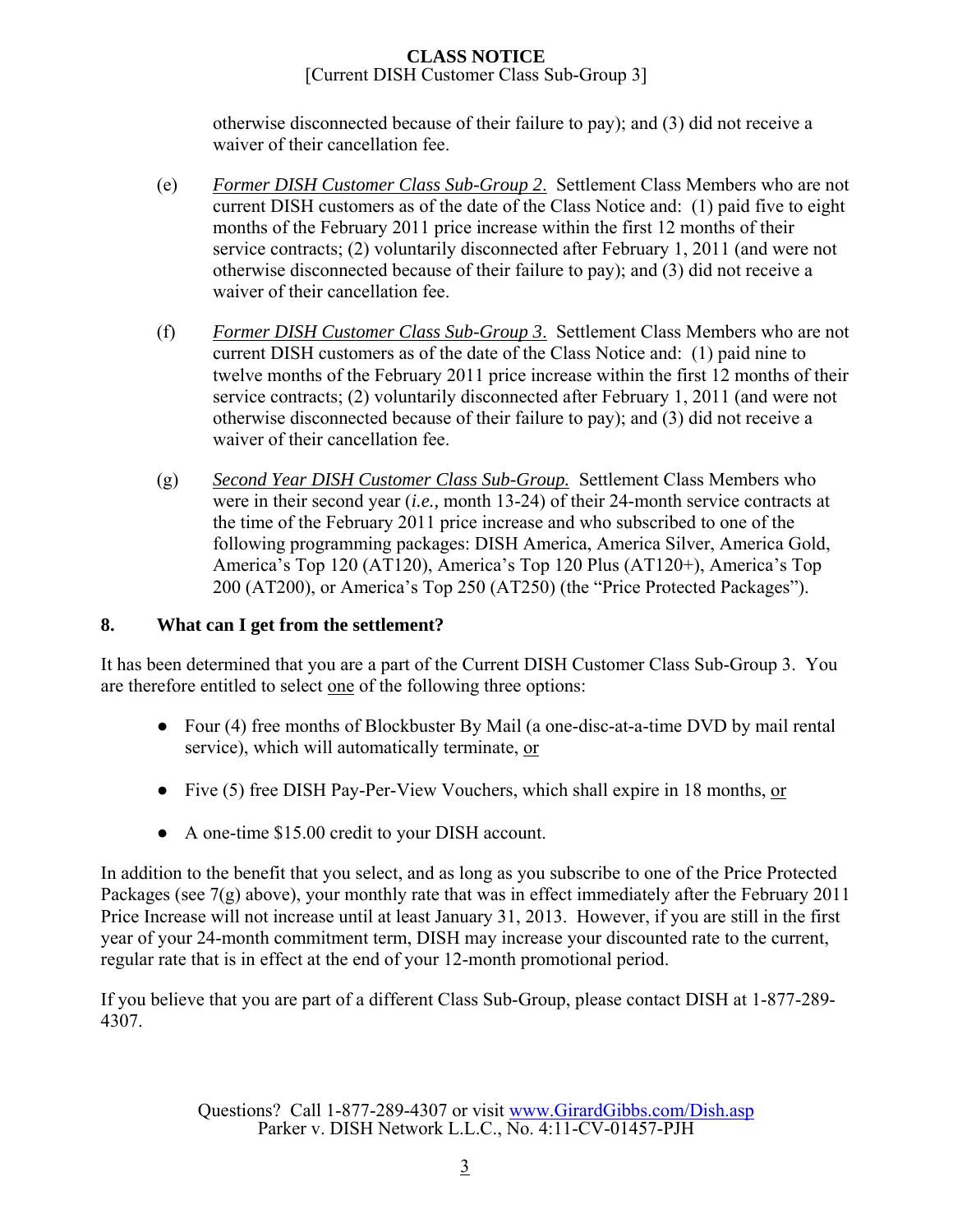otherwise disconnected because of their failure to pay); and (3) did not receive a waiver of their cancellation fee.

- (e) *Former DISH Customer Class Sub-Group 2*. Settlement Class Members who are not current DISH customers as of the date of the Class Notice and: (1) paid five to eight months of the February 2011 price increase within the first 12 months of their service contracts; (2) voluntarily disconnected after February 1, 2011 (and were not otherwise disconnected because of their failure to pay); and (3) did not receive a waiver of their cancellation fee.
- (f) *Former DISH Customer Class Sub-Group 3*. Settlement Class Members who are not current DISH customers as of the date of the Class Notice and: (1) paid nine to twelve months of the February 2011 price increase within the first 12 months of their service contracts; (2) voluntarily disconnected after February 1, 2011 (and were not otherwise disconnected because of their failure to pay); and (3) did not receive a waiver of their cancellation fee.
- (g) *Second Year DISH Customer Class Sub-Group.* Settlement Class Members who were in their second year (*i.e.,* month 13-24) of their 24-month service contracts at the time of the February 2011 price increase and who subscribed to one of the following programming packages: DISH America, America Silver, America Gold, America's Top 120 (AT120), America's Top 120 Plus (AT120+), America's Top 200 (AT200), or America's Top 250 (AT250) (the "Price Protected Packages").

## **8. What can I get from the settlement?**

It has been determined that you are a part of the Current DISH Customer Class Sub-Group 3. You are therefore entitled to select one of the following three options:

- Four (4) free months of Blockbuster By Mail (a one-disc-at-a-time DVD by mail rental service), which will automatically terminate, or
- Five (5) free DISH Pay-Per-View Vouchers, which shall expire in 18 months, or
- A one-time \$15.00 credit to your DISH account.

In addition to the benefit that you select, and as long as you subscribe to one of the Price Protected Packages (see 7(g) above), your monthly rate that was in effect immediately after the February 2011 Price Increase will not increase until at least January 31, 2013. However, if you are still in the first year of your 24-month commitment term, DISH may increase your discounted rate to the current, regular rate that is in effect at the end of your 12-month promotional period.

If you believe that you are part of a different Class Sub-Group, please contact DISH at 1-877-289- 4307.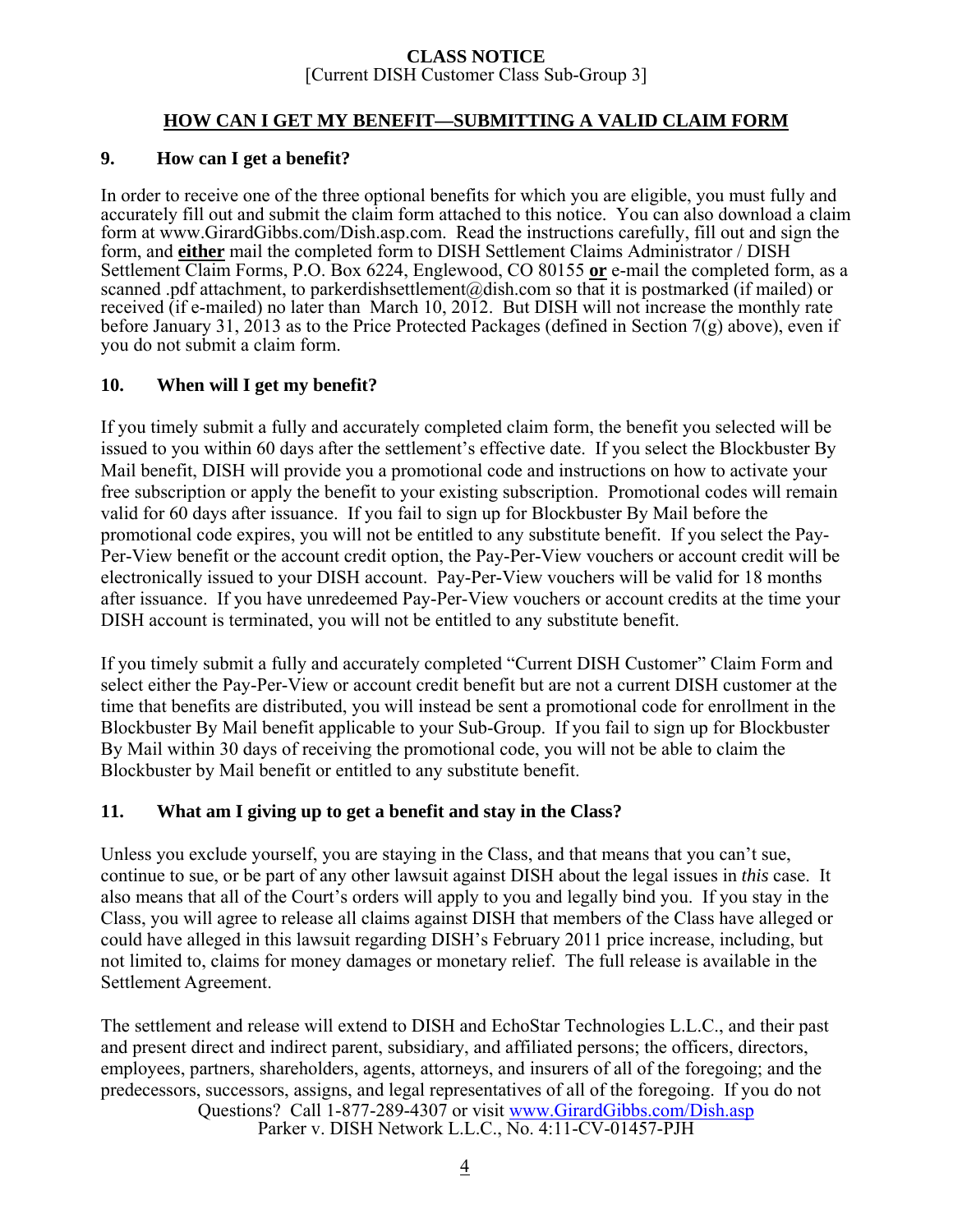## **HOW CAN I GET MY BENEFIT—SUBMITTING A VALID CLAIM FORM**

### **9. How can I get a benefit?**

In order to receive one of the three optional benefits for which you are eligible, you must fully and accurately fill out and submit the claim form attached to this notice. You can also download a claim form at www.GirardGibbs.com/Dish.asp.com. Read the instructions carefully, fill out and sign the form, and **either** mail the completed form to DISH Settlement Claims Administrator / DISH Settlement Claim Forms, P.O. Box 6224, Englewood, CO 80155 **or** e-mail the completed form, as a scanned .pdf attachment, to parkerdishsettlement@dish.com so that it is postmarked (if mailed) or received (if e-mailed) no later than March 10, 2012. But DISH will not increase the monthly rate before January 31, 2013 as to the Price Protected Packages (defined in Section 7(g) above), even if you do not submit a claim form.

## **10. When will I get my benefit?**

If you timely submit a fully and accurately completed claim form, the benefit you selected will be issued to you within 60 days after the settlement's effective date. If you select the Blockbuster By Mail benefit, DISH will provide you a promotional code and instructions on how to activate your free subscription or apply the benefit to your existing subscription. Promotional codes will remain valid for 60 days after issuance. If you fail to sign up for Blockbuster By Mail before the promotional code expires, you will not be entitled to any substitute benefit. If you select the Pay-Per-View benefit or the account credit option, the Pay-Per-View vouchers or account credit will be electronically issued to your DISH account. Pay-Per-View vouchers will be valid for 18 months after issuance. If you have unredeemed Pay-Per-View vouchers or account credits at the time your DISH account is terminated, you will not be entitled to any substitute benefit.

If you timely submit a fully and accurately completed "Current DISH Customer" Claim Form and select either the Pay-Per-View or account credit benefit but are not a current DISH customer at the time that benefits are distributed, you will instead be sent a promotional code for enrollment in the Blockbuster By Mail benefit applicable to your Sub-Group. If you fail to sign up for Blockbuster By Mail within 30 days of receiving the promotional code, you will not be able to claim the Blockbuster by Mail benefit or entitled to any substitute benefit.

## **11. What am I giving up to get a benefit and stay in the Class?**

Unless you exclude yourself, you are staying in the Class, and that means that you can't sue, continue to sue, or be part of any other lawsuit against DISH about the legal issues in *this* case. It also means that all of the Court's orders will apply to you and legally bind you. If you stay in the Class, you will agree to release all claims against DISH that members of the Class have alleged or could have alleged in this lawsuit regarding DISH's February 2011 price increase, including, but not limited to, claims for money damages or monetary relief. The full release is available in the Settlement Agreement.

Questions? Call 1-877-289-4307 or visit www.GirardGibbs.com/Dish.asp Parker v. DISH Network L.L.C., No. 4:11-CV-01457-PJH The settlement and release will extend to DISH and EchoStar Technologies L.L.C., and their past and present direct and indirect parent, subsidiary, and affiliated persons; the officers, directors, employees, partners, shareholders, agents, attorneys, and insurers of all of the foregoing; and the predecessors, successors, assigns, and legal representatives of all of the foregoing. If you do not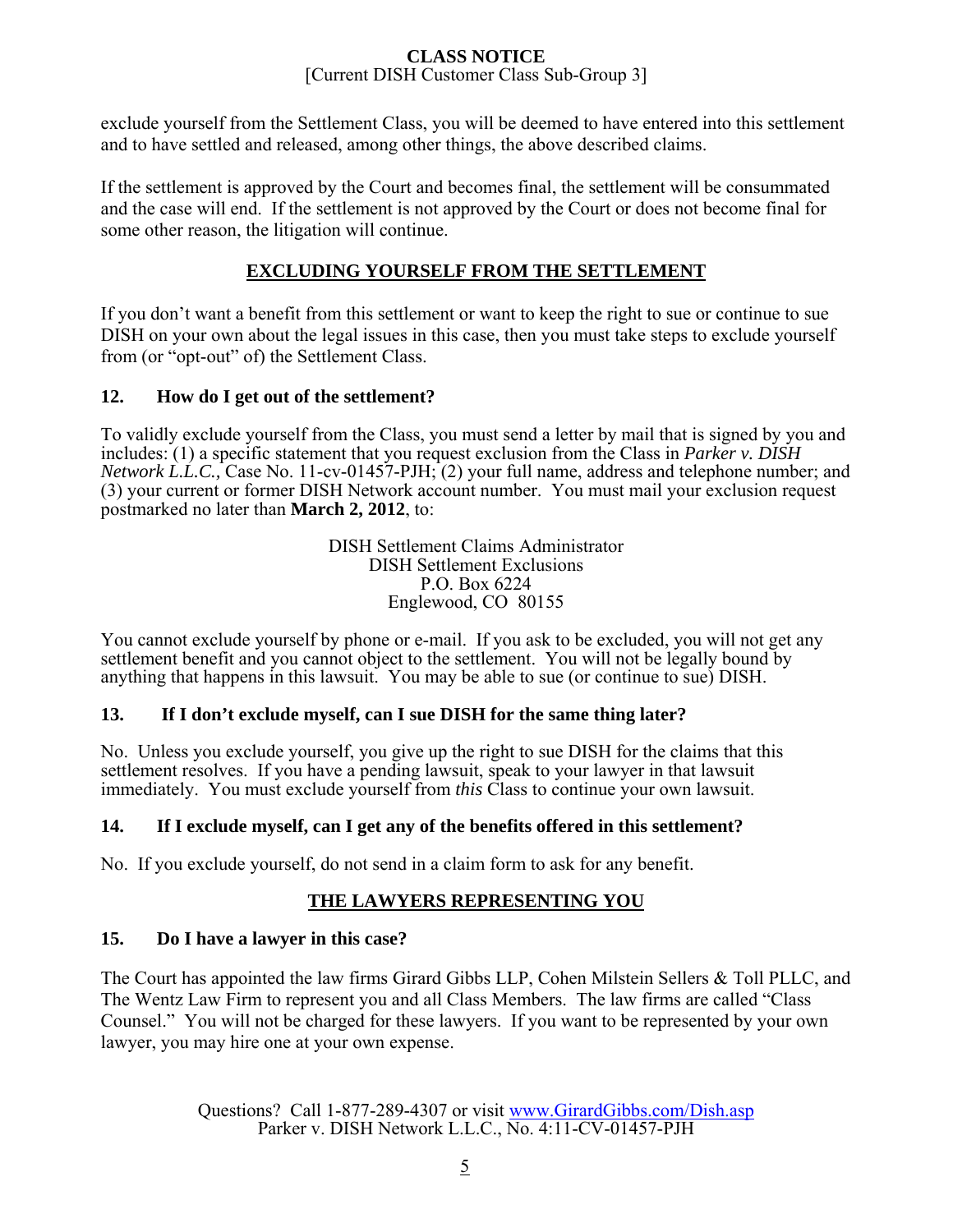exclude yourself from the Settlement Class, you will be deemed to have entered into this settlement and to have settled and released, among other things, the above described claims.

If the settlement is approved by the Court and becomes final, the settlement will be consummated and the case will end. If the settlement is not approved by the Court or does not become final for some other reason, the litigation will continue.

## **EXCLUDING YOURSELF FROM THE SETTLEMENT**

If you don't want a benefit from this settlement or want to keep the right to sue or continue to sue DISH on your own about the legal issues in this case, then you must take steps to exclude yourself from (or "opt-out" of) the Settlement Class.

## **12. How do I get out of the settlement?**

To validly exclude yourself from the Class, you must send a letter by mail that is signed by you and includes: (1) a specific statement that you request exclusion from the Class in *Parker v. DISH Network L.L.C.,* Case No. 11-cv-01457-PJH; (2) your full name, address and telephone number; and (3) your current or former DISH Network account number. You must mail your exclusion request postmarked no later than **March 2, 2012**, to:

> DISH Settlement Claims Administrator DISH Settlement Exclusions P.O. Box 6224 Englewood, CO 80155

You cannot exclude yourself by phone or e-mail. If you ask to be excluded, you will not get any settlement benefit and you cannot object to the settlement. You will not be legally bound by anything that happens in this lawsuit. You may be able to sue (or continue to sue) DISH.

## **13. If I don't exclude myself, can I sue DISH for the same thing later?**

No. Unless you exclude yourself, you give up the right to sue DISH for the claims that this settlement resolves. If you have a pending lawsuit, speak to your lawyer in that lawsuit immediately. You must exclude yourself from *this* Class to continue your own lawsuit.

## **14. If I exclude myself, can I get any of the benefits offered in this settlement?**

No. If you exclude yourself, do not send in a claim form to ask for any benefit.

## **THE LAWYERS REPRESENTING YOU**

## **15. Do I have a lawyer in this case?**

The Court has appointed the law firms Girard Gibbs LLP, Cohen Milstein Sellers & Toll PLLC, and The Wentz Law Firm to represent you and all Class Members. The law firms are called "Class Counsel." You will not be charged for these lawyers. If you want to be represented by your own lawyer, you may hire one at your own expense.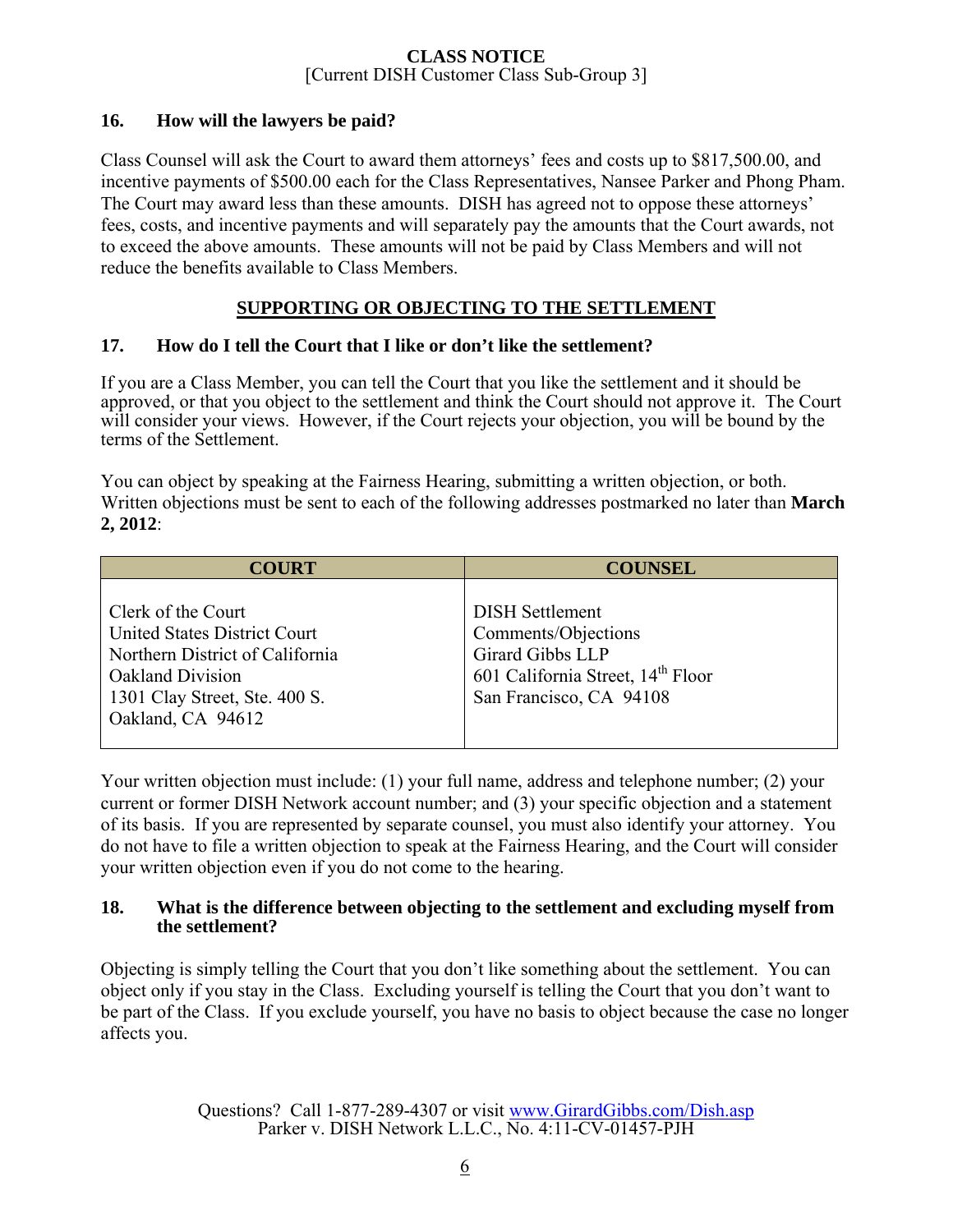## **16. How will the lawyers be paid?**

Class Counsel will ask the Court to award them attorneys' fees and costs up to \$817,500.00, and incentive payments of \$500.00 each for the Class Representatives, Nansee Parker and Phong Pham. The Court may award less than these amounts. DISH has agreed not to oppose these attorneys' fees, costs, and incentive payments and will separately pay the amounts that the Court awards, not to exceed the above amounts. These amounts will not be paid by Class Members and will not reduce the benefits available to Class Members.

## **SUPPORTING OR OBJECTING TO THE SETTLEMENT**

## **17. How do I tell the Court that I like or don't like the settlement?**

If you are a Class Member, you can tell the Court that you like the settlement and it should be approved, or that you object to the settlement and think the Court should not approve it. The Court will consider your views. However, if the Court rejects your objection, you will be bound by the terms of the Settlement.

You can object by speaking at the Fairness Hearing, submitting a written objection, or both. Written objections must be sent to each of the following addresses postmarked no later than **March 2, 2012**:

| <b>COURT</b>                                                                                                                                                                  | <b>COUNSEL</b>                                                                                                                                |
|-------------------------------------------------------------------------------------------------------------------------------------------------------------------------------|-----------------------------------------------------------------------------------------------------------------------------------------------|
| Clerk of the Court<br><b>United States District Court</b><br>Northern District of California<br><b>Oakland Division</b><br>1301 Clay Street, Ste. 400 S.<br>Oakland, CA 94612 | <b>DISH Settlement</b><br>Comments/Objections<br>Girard Gibbs LLP<br>601 California Street, 14 <sup>th</sup> Floor<br>San Francisco, CA 94108 |

Your written objection must include: (1) your full name, address and telephone number; (2) your current or former DISH Network account number; and (3) your specific objection and a statement of its basis. If you are represented by separate counsel, you must also identify your attorney. You do not have to file a written objection to speak at the Fairness Hearing, and the Court will consider your written objection even if you do not come to the hearing.

### **18. What is the difference between objecting to the settlement and excluding myself from the settlement?**

Objecting is simply telling the Court that you don't like something about the settlement. You can object only if you stay in the Class. Excluding yourself is telling the Court that you don't want to be part of the Class. If you exclude yourself, you have no basis to object because the case no longer affects you.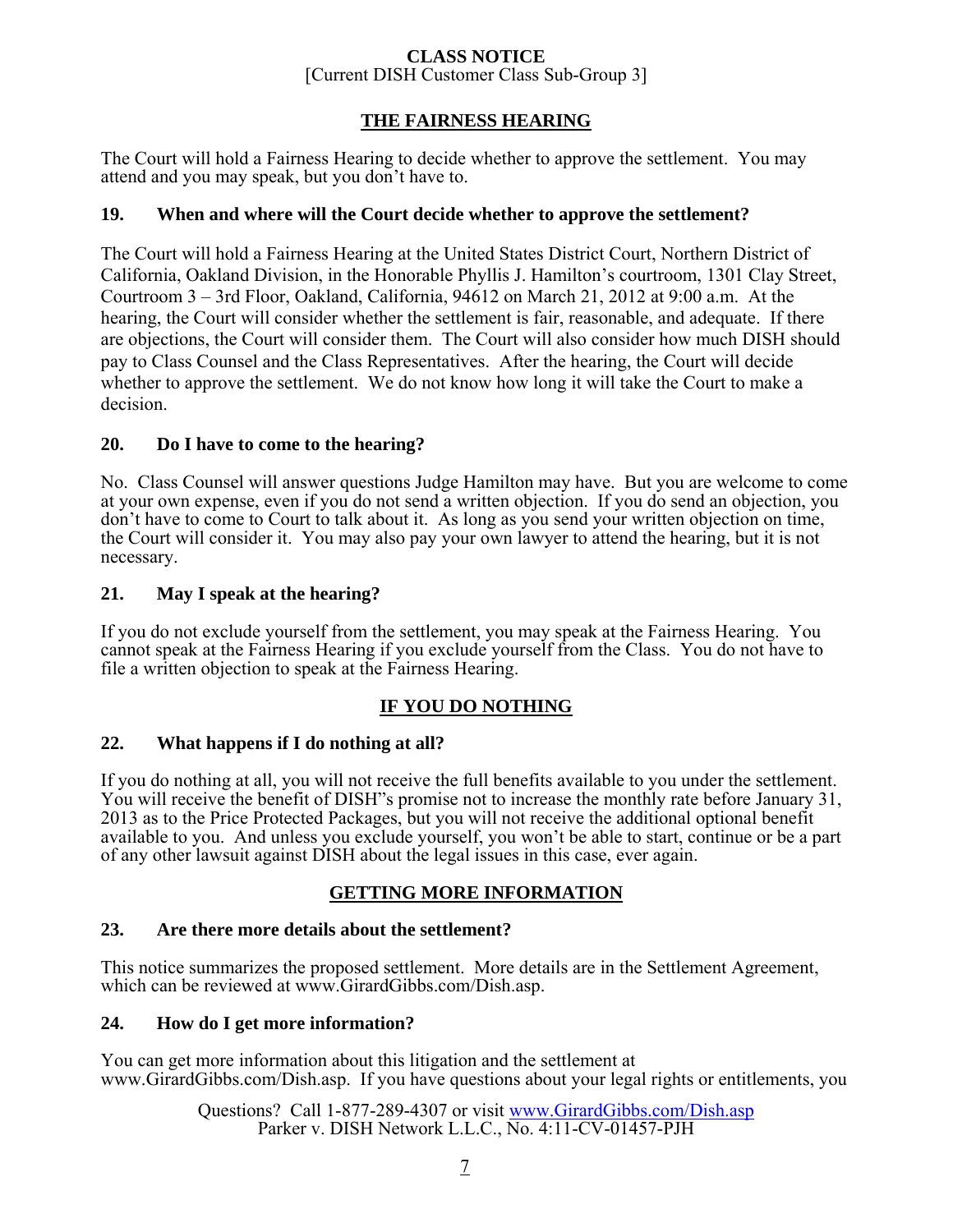## **THE FAIRNESS HEARING**

The Court will hold a Fairness Hearing to decide whether to approve the settlement. You may attend and you may speak, but you don't have to.

### **19. When and where will the Court decide whether to approve the settlement?**

The Court will hold a Fairness Hearing at the United States District Court, Northern District of California, Oakland Division, in the Honorable Phyllis J. Hamilton's courtroom, 1301 Clay Street, Courtroom 3 – 3rd Floor, Oakland, California, 94612 on March 21, 2012 at 9:00 a.m. At the hearing, the Court will consider whether the settlement is fair, reasonable, and adequate. If there are objections, the Court will consider them. The Court will also consider how much DISH should pay to Class Counsel and the Class Representatives. After the hearing, the Court will decide whether to approve the settlement. We do not know how long it will take the Court to make a decision.

### **20. Do I have to come to the hearing?**

No. Class Counsel will answer questions Judge Hamilton may have. But you are welcome to come at your own expense, even if you do not send a written objection. If you do send an objection, you don't have to come to Court to talk about it. As long as you send your written objection on time, the Court will consider it. You may also pay your own lawyer to attend the hearing, but it is not necessary.

### **21. May I speak at the hearing?**

If you do not exclude yourself from the settlement, you may speak at the Fairness Hearing. You cannot speak at the Fairness Hearing if you exclude yourself from the Class. You do not have to file a written objection to speak at the Fairness Hearing.

## **IF YOU DO NOTHING**

### **22. What happens if I do nothing at all?**

If you do nothing at all, you will not receive the full benefits available to you under the settlement. You will receive the benefit of DISH"s promise not to increase the monthly rate before January 31, 2013 as to the Price Protected Packages, but you will not receive the additional optional benefit available to you. And unless you exclude yourself, you won't be able to start, continue or be a part of any other lawsuit against DISH about the legal issues in this case, ever again.

### **GETTING MORE INFORMATION**

### **23. Are there more details about the settlement?**

This notice summarizes the proposed settlement. More details are in the Settlement Agreement, which can be reviewed at www.GirardGibbs.com/Dish.asp.

### **24. How do I get more information?**

You can get more information about this litigation and the settlement at www.GirardGibbs.com/Dish.asp. If you have questions about your legal rights or entitlements, you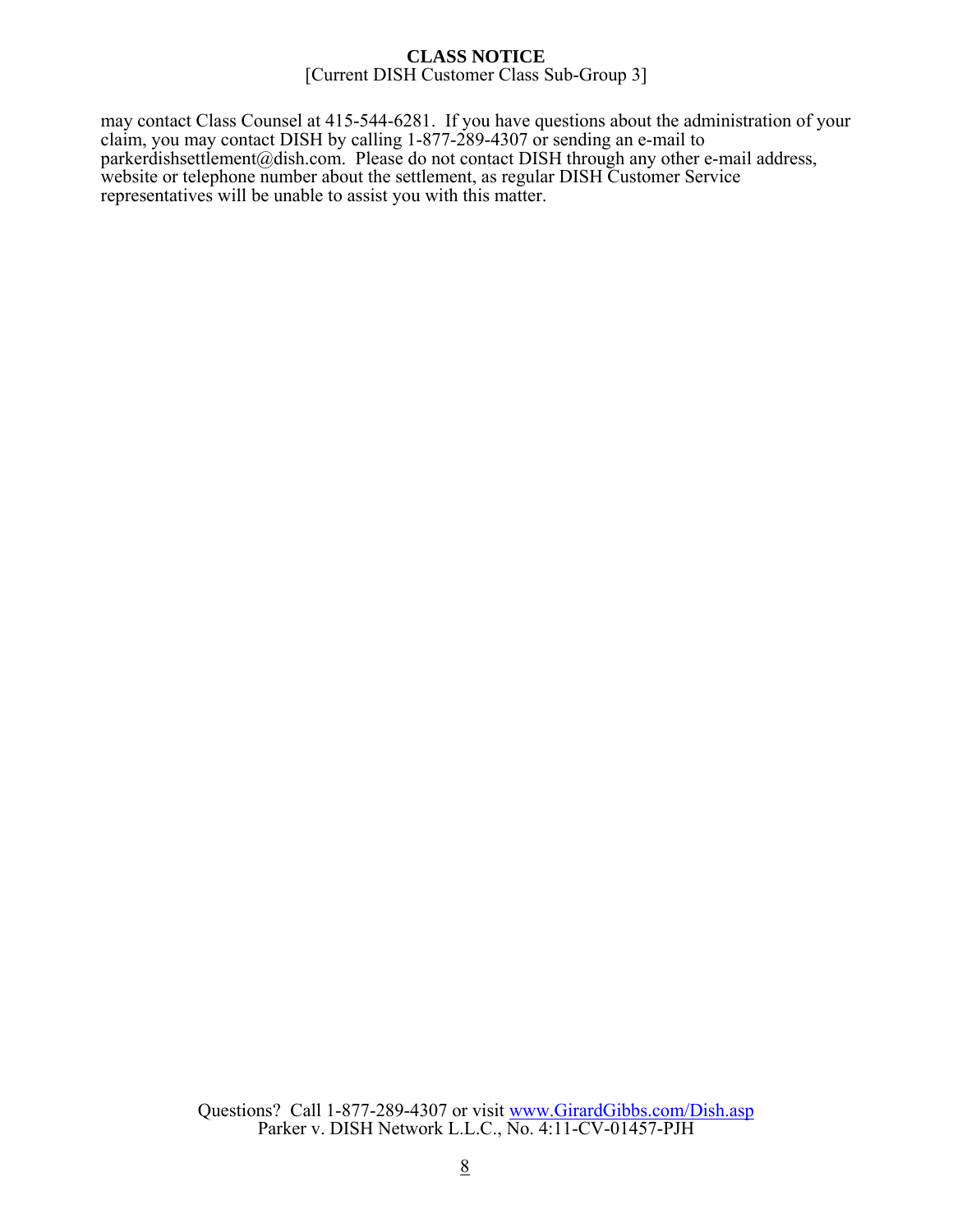may contact Class Counsel at 415-544-6281. If you have questions about the administration of your claim, you may contact DISH by calling 1-877-289-4307 or sending an e-mail to parkerdishsettlement@dish.com. Please do not contact DISH through any other e-mail address, website or telephone number about the settlement, as regular DISH Customer Service representatives will be unable to assist you with this matter.